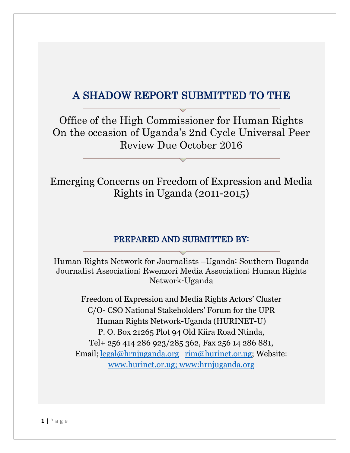# A SHADOW REPORT SUBMITTED TO THE

Office of the High Commissioner for Human Rights On the occasion of Uganda's 2nd Cycle Universal Peer Review Due October 2016

Emerging Concerns on Freedom of Expression and Media Rights in Uganda (2011-2015)

#### PREPARED AND SUBMITTED BY:

Human Rights Network for Journalists –Uganda; Southern Buganda Journalist Association; Rwenzori Media Association; Human Rights Network-Uganda

Freedom of Expression and Media Rights Actors' Cluster C/O- CSO National Stakeholders' Forum for the UPR Human Rights Network-Uganda (HURINET-U) P. O. Box 21265 Plot 94 Old Kiira Road Ntinda, Tel+ 256 414 286 923/285 362, Fax 256 14 286 881, Email; [legal@hrnjuganda.org](mailto:legal@hrnjuganda.org) [rim@hurinet.or.ug;](mailto:rim@hurinet.or.ug) Website: [www.hurinet.or.ug;](http://www.hurinet.or.ug/) www:hrnjuganda.org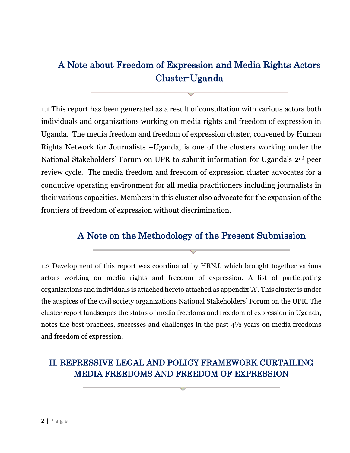## A Note about Freedom of Expression and Media Rights Actors Cluster-Uganda

1.1 This report has been generated as a result of consultation with various actors both individuals and organizations working on media rights and freedom of expression in Uganda. The media freedom and freedom of expression cluster, convened by Human Rights Network for Journalists –Uganda, is one of the clusters working under the National Stakeholders' Forum on UPR to submit information for Uganda's 2nd peer review cycle. The media freedom and freedom of expression cluster advocates for a conducive operating environment for all media practitioners including journalists in their various capacities. Members in this cluster also advocate for the expansion of the frontiers of freedom of expression without discrimination.

## A Note on the Methodology of the Present Submission

1.2 Development of this report was coordinated by HRNJ, which brought together various actors working on media rights and freedom of expression. A list of participating organizations and individuals is attached hereto attached as appendix 'A'. This cluster is under the auspices of the civil society organizations National Stakeholders' Forum on the UPR. The cluster report landscapes the status of media freedoms and freedom of expression in Uganda, notes the best practices, successes and challenges in the past 4½ years on media freedoms and freedom of expression.

## II. REPRESSIVE LEGAL AND POLICY FRAMEWORK CURTAILING MEDIA FREEDOMS AND FREEDOM OF EXPRESSION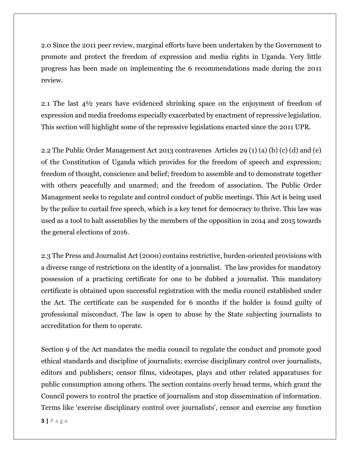2.0 Since the 2011 peer review, marginal efforts have been undertaken by the Government to promote and protect the freedom of expression and media rights in Uganda. Very little progress has been made on implementing the 6 recommendations made during the 2011 review.

2.1 The last 4½ years have evidenced shrinking space on the enjoyment of freedom of expression and media freedoms especially exacerbated by enactment of repressive legislation. This section will highlight some of the repressive legislations enacted since the 2011 UPR.

2.2 The Public Order Management Act 2013 contravenes Articles 29 (1) (a) (b) (c) (d) and (e) of the Constitution of Uganda which provides for the freedom of speech and expression; freedom of thought, conscience and belief; freedom to assemble and to demonstrate together with others peacefully and unarmed; and the freedom of association. The Public Order Management seeks to regulate and control conduct of public meetings. This Act is being used by the police to curtail free speech, which is a key tenet for democracy to thrive. This law was used as a tool to halt assemblies by the members of the opposition in 2014 and 2015 towards the general elections of 2016.

2.3 The Press and Journalist Act (2000) contains restrictive, burden-oriented provisions with a diverse range of restrictions on the identity of a journalist. The law provides for mandatory possession of a practicing certificate for one to be dubbed a journalist. This mandatory certificate is obtained upon successful registration with the media council established under the Act. The certificate can be suspended for 6 months if the holder is found guilty of professional misconduct. The law is open to abuse by the State subjecting journalists to accreditation for them to operate.

Section 9 of the Act mandates the media council to regulate the conduct and promote good ethical standards and discipline of journalists; exercise disciplinary control over journalists, editors and publishers; censor films, videotapes, plays and other related apparatuses for public consumption among others. The section contains overly broad terms, which grant the Council powers to control the practice of journalism and stop dissemination of information. Terms like 'exercise disciplinary control over journalists', censor and exercise any function

**3 |** P a g e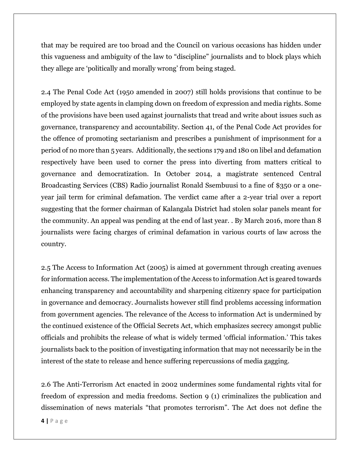that may be required are too broad and the Council on various occasions has hidden under this vagueness and ambiguity of the law to "discipline" journalists and to block plays which they allege are 'politically and morally wrong' from being staged.

2.4 The Penal Code Act (1950 amended in 2007) still holds provisions that continue to be employed by state agents in clamping down on freedom of expression and media rights. Some of the provisions have been used against journalists that tread and write about issues such as governance, transparency and accountability. Section 41, of the Penal Code Act provides for the offence of promoting sectarianism and prescribes a punishment of imprisonment for a period of no more than 5 years. Additionally, the sections 179 and 180 on libel and defamation respectively have been used to corner the press into diverting from matters critical to governance and democratization. In October 2014, a magistrate sentenced Central Broadcasting Services (CBS) Radio journalist Ronald Ssembuusi to a fine of \$350 or a oneyear jail term for criminal defamation. The verdict came after a 2-year trial over a report suggesting that the former chairman of Kalangala District had stolen solar panels meant for the community. An appeal was pending at the end of last year. . By March 2016, more than 8 journalists were facing charges of criminal defamation in various courts of law across the country.

2.5 The Access to Information Act (2005) is aimed at government through creating avenues for information access. The implementation of the Access to information Act is geared towards enhancing transparency and accountability and sharpening citizenry space for participation in governance and democracy. Journalists however still find problems accessing information from government agencies. The relevance of the Access to information Act is undermined by the continued existence of the Official Secrets Act, which emphasizes secrecy amongst public officials and prohibits the release of what is widely termed 'official information.' This takes journalists back to the position of investigating information that may not necessarily be in the interest of the state to release and hence suffering repercussions of media gagging.

2.6 The Anti-Terrorism Act enacted in 2002 undermines some fundamental rights vital for freedom of expression and media freedoms. Section 9 (1) criminalizes the publication and dissemination of news materials "that promotes terrorism". The Act does not define the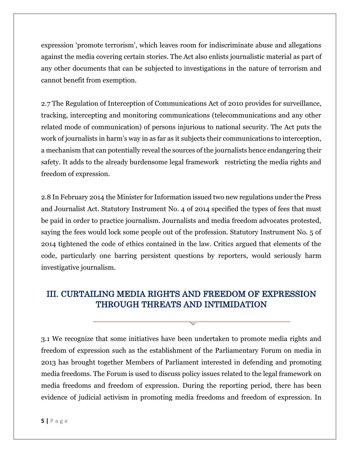expression 'promote terrorism', which leaves room for indiscriminate abuse and allegations against the media covering certain stories. The Act also enlists journalistic material as part of any other documents that can be subjected to investigations in the nature of terrorism and cannot benefit from exemption.

2.7 The Regulation of Interception of Communications Act of 2010 provides for surveillance, tracking, intercepting and monitoring communications (telecommunications and any other related mode of communication) of persons injurious to national security. The Act puts the work of journalists in harm's way in as far as it subjects their communications to interception, a mechanism that can potentially reveal the sources of the journalists hence endangering their safety. It adds to the already burdensome legal framework restricting the media rights and freedom of expression.

2.8 In February 2014 the Minister for Information issued two new regulations under the Press and Journalist Act. Statutory Instrument No. 4 of 2014 specified the types of fees that must be paid in order to practice journalism. Journalists and media freedom advocates protested, saying the fees would lock some people out of the profession. Statutory Instrument No. 5 of 2014 tightened the code of ethics contained in the law. Critics argued that elements of the code, particularly one barring persistent questions by reporters, would seriously harm investigative journalism.

## III. CURTAILING MEDIA RIGHTS AND FREEDOM OF EXPRESSION THROUGH THREATS AND INTIMIDATION

3.1 We recognize that some initiatives have been undertaken to promote media rights and freedom of expression such as the establishment of the Parliamentary Forum on media in 2013 has brought together Members of Parliament interested in defending and promoting media freedoms. The Forum is used to discuss policy issues related to the legal framework on media freedoms and freedom of expression. During the reporting period, there has been evidence of judicial activism in promoting media freedoms and freedom of expression. In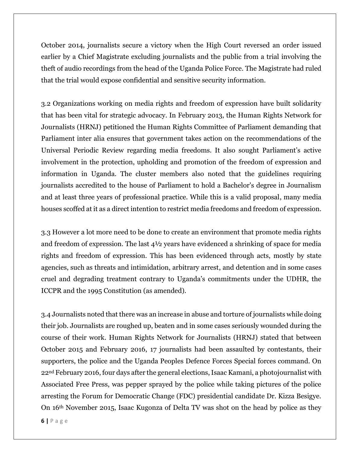October 2014, journalists secure a victory when the High Court reversed an order issued earlier by a Chief Magistrate excluding journalists and the public from a trial involving the theft of audio recordings from the head of the Uganda Police Force. The Magistrate had ruled that the trial would expose confidential and sensitive security information.

3.2 Organizations working on media rights and freedom of expression have built solidarity that has been vital for strategic advocacy. In February 2013, the Human Rights Network for Journalists (HRNJ) petitioned the Human Rights Committee of Parliament demanding that Parliament inter alia ensures that government takes action on the recommendations of the Universal Periodic Review regarding media freedoms. It also sought Parliament's active involvement in the protection, upholding and promotion of the freedom of expression and information in Uganda. The cluster members also noted that the guidelines requiring journalists accredited to the house of Parliament to hold a Bachelor's degree in Journalism and at least three years of professional practice. While this is a valid proposal, many media houses scoffed at it as a direct intention to restrict media freedoms and freedom of expression.

3.3 However a lot more need to be done to create an environment that promote media rights and freedom of expression. The last 4½ years have evidenced a shrinking of space for media rights and freedom of expression. This has been evidenced through acts, mostly by state agencies, such as threats and intimidation, arbitrary arrest, and detention and in some cases cruel and degrading treatment contrary to Uganda's commitments under the UDHR, the ICCPR and the 1995 Constitution (as amended).

3.4 Journalists noted that there was an increase in abuse and torture of journalists while doing their job. Journalists are roughed up, beaten and in some cases seriously wounded during the course of their work. Human Rights Network for Journalists (HRNJ) stated that between October 2015 and February 2016, 17 journalists had been assaulted by contestants, their supporters, the police and the Uganda Peoples Defence Forces Special forces command. On 22nd February 2016, four days after the general elections, Isaac Kamani, a photojournalist with Associated Free Press, was pepper sprayed by the police while taking pictures of the police arresting the Forum for Democratic Change (FDC) presidential candidate Dr. Kizza Besigye. On 16th November 2015, Isaac Kugonza of Delta TV was shot on the head by police as they

**6 |** P a g e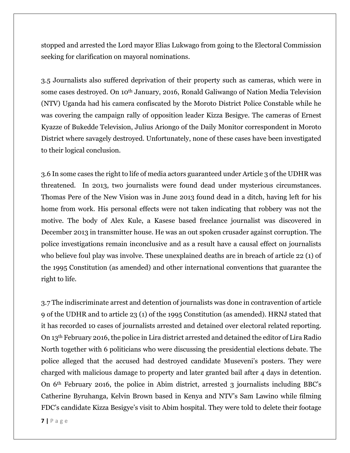stopped and arrested the Lord mayor Elias Lukwago from going to the Electoral Commission seeking for clarification on mayoral nominations.

3.5 Journalists also suffered deprivation of their property such as cameras, which were in some cases destroyed. On 10th January, 2016, Ronald Galiwango of Nation Media Television (NTV) Uganda had his camera confiscated by the Moroto District Police Constable while he was covering the campaign rally of opposition leader Kizza Besigye. The cameras of Ernest Kyazze of Bukedde Television, Julius Ariongo of the Daily Monitor correspondent in Moroto District where savagely destroyed. Unfortunately, none of these cases have been investigated to their logical conclusion.

3.6 In some cases the right to life of media actors guaranteed under Article 3 of the UDHR was threatened. In 2013, two journalists were found dead under mysterious circumstances. Thomas Pere of the New Vision was in June 2013 found dead in a ditch, having left for his home from work. His personal effects were not taken indicating that robbery was not the motive. The body of Alex Kule, a Kasese based freelance journalist was discovered in December 2013 in transmitter house. He was an out spoken crusader against corruption. The police investigations remain inconclusive and as a result have a causal effect on journalists who believe foul play was involve. These unexplained deaths are in breach of article 22 (1) of the 1995 Constitution (as amended) and other international conventions that guarantee the right to life.

3.7 The indiscriminate arrest and detention of journalists was done in contravention of article 9 of the UDHR and to article 23 (1) of the 1995 Constitution (as amended). HRNJ stated that it has recorded 10 cases of journalists arrested and detained over electoral related reporting. On 13th February 2016, the police in Lira district arrested and detained the editor of Lira Radio North together with 6 politicians who were discussing the presidential elections debate. The police alleged that the accused had destroyed candidate Museveni's posters. They were charged with malicious damage to property and later granted bail after 4 days in detention. On 6th February 2016, the police in Abim district, arrested 3 journalists including BBC's Catherine Byruhanga, Kelvin Brown based in Kenya and NTV's Sam Lawino while filming FDC's candidate Kizza Besigye's visit to Abim hospital. They were told to delete their footage

**7 |** P a g e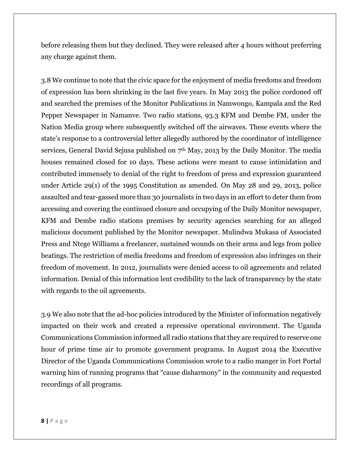before releasing them but they declined. They were released after 4 hours without preferring any charge against them.

3.8 We continue to note that the civic space for the enjoyment of media freedoms and freedom of expression has been shrinking in the last five years. In May 2013 the police cordoned off and searched the premises of the Monitor Publications in Namwongo, Kampala and the Red Pepper Newspaper in Namanve. Two radio stations, 93.3 KFM and Dembe FM, under the Nation Media group where subsequently switched off the airwaves. These events where the state's response to a controversial letter allegedly authored by the coordinator of intelligence services, General David Sejusa published on 7<sup>th</sup> May, 2013 by the Daily Monitor. The media houses remained closed for 10 days. These actions were meant to cause intimidation and contributed immensely to denial of the right to freedom of press and expression guaranteed under Article 29(1) of the 1995 Constitution as amended. On May 28 and 29, 2013, police assaulted and tear-gassed more than 30 journalists in two days in an effort to deter them from accessing and covering the continued closure and occupying of the Daily Monitor newspaper, KFM and Dembe radio stations premises by security agencies searching for an alleged malicious document published by the Monitor newspaper. Mulindwa Mukasa of Associated Press and Ntege Williams a freelancer, sustained wounds on their arms and legs from police beatings. The restriction of media freedoms and freedom of expression also infringes on their freedom of movement. In 2012, journalists were denied access to oil agreements and related information. Denial of this information lent credibility to the lack of transparency by the state with regards to the oil agreements.

3.9 We also note that the ad-hoc policies introduced by the Minister of information negatively impacted on their work and created a repressive operational environment. The Uganda Communications Commission informed all radio stations that they are required to reserve one hour of prime time air to promote government programs. In August 2014 the Executive Director of the Uganda Communications Commission wrote to a radio manger in Fort Portal warning him of running programs that "cause disharmony" in the community and requested recordings of all programs.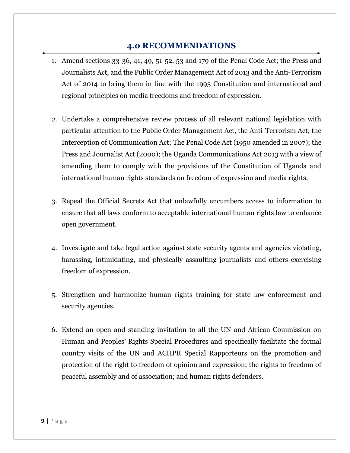#### **4.0 RECOMMENDATIONS**

- 1. Amend sections 33-36, 41, 49, 51-52, 53 and 179 of the Penal Code Act; the Press and Journalists Act, and the Public Order Management Act of 2013 and the Anti-Terrorism Act of 2014 to bring them in line with the 1995 Constitution and international and regional principles on media freedoms and freedom of expression.
- 2. Undertake a comprehensive review process of all relevant national legislation with particular attention to the Public Order Management Act, the Anti-Terrorism Act; the Interception of Communication Act; The Penal Code Act (1950 amended in 2007); the Press and Journalist Act (2000); the Uganda Communications Act 2013 with a view of amending them to comply with the provisions of the Constitution of Uganda and international human rights standards on freedom of expression and media rights.
- 3. Repeal the Official Secrets Act that unlawfully encumbers access to information to ensure that all laws conform to acceptable international human rights law to enhance open government.
- 4. Investigate and take legal action against state security agents and agencies violating, harassing, intimidating, and physically assaulting journalists and others exercising freedom of expression.
- 5. Strengthen and harmonize human rights training for state law enforcement and security agencies.
- 6. Extend an open and standing invitation to all the UN and African Commission on Human and Peoples' Rights Special Procedures and specifically facilitate the formal country visits of the UN and ACHPR Special Rapporteurs on the promotion and protection of the right to freedom of opinion and expression; the rights to freedom of peaceful assembly and of association; and human rights defenders.